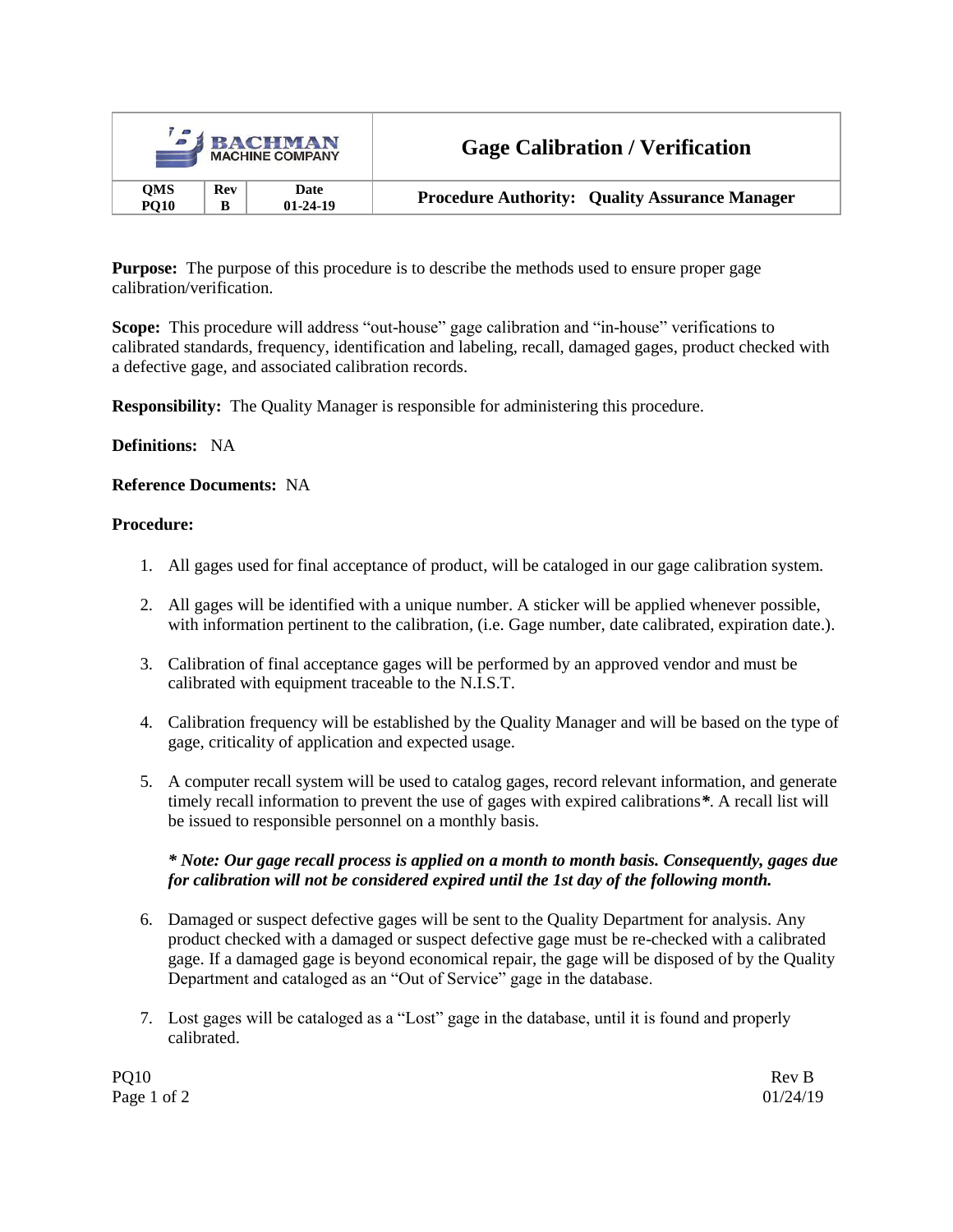| <b>SIBACHMAN</b><br><b>MACHINE COMPANY</b> |     |                | <b>Gage Calibration / Verification</b>                |  |
|--------------------------------------------|-----|----------------|-------------------------------------------------------|--|
| <b>QMS</b>                                 | Rev | Date           | <b>Procedure Authority: Quality Assurance Manager</b> |  |
| <b>PO10</b>                                | B   | $01 - 24 - 19$ |                                                       |  |

**Purpose:** The purpose of this procedure is to describe the methods used to ensure proper gage calibration/verification.

**Scope:** This procedure will address "out-house" gage calibration and "in-house" verifications to calibrated standards, frequency, identification and labeling, recall, damaged gages, product checked with a defective gage, and associated calibration records.

**Responsibility:** The Quality Manager is responsible for administering this procedure.

## **Definitions:** NA

### **Reference Documents:** NA

### **Procedure:**

- 1. All gages used for final acceptance of product, will be cataloged in our gage calibration system.
- 2. All gages will be identified with a unique number. A sticker will be applied whenever possible, with information pertinent to the calibration, (i.e. Gage number, date calibrated, expiration date.).
- 3. Calibration of final acceptance gages will be performed by an approved vendor and must be calibrated with equipment traceable to the N.I.S.T.
- 4. Calibration frequency will be established by the Quality Manager and will be based on the type of gage, criticality of application and expected usage.
- 5. A computer recall system will be used to catalog gages, record relevant information, and generate timely recall information to prevent the use of gages with expired calibrations*\**. A recall list will be issued to responsible personnel on a monthly basis.

### *\* Note: Our gage recall process is applied on a month to month basis. Consequently, gages due for calibration will not be considered expired until the 1st day of the following month.*

- 6. Damaged or suspect defective gages will be sent to the Quality Department for analysis. Any product checked with a damaged or suspect defective gage must be re-checked with a calibrated gage. If a damaged gage is beyond economical repair, the gage will be disposed of by the Quality Department and cataloged as an "Out of Service" gage in the database.
- 7. Lost gages will be cataloged as a "Lost" gage in the database, until it is found and properly calibrated.

PQ10 Rev B Page 1 of 2 01/24/19